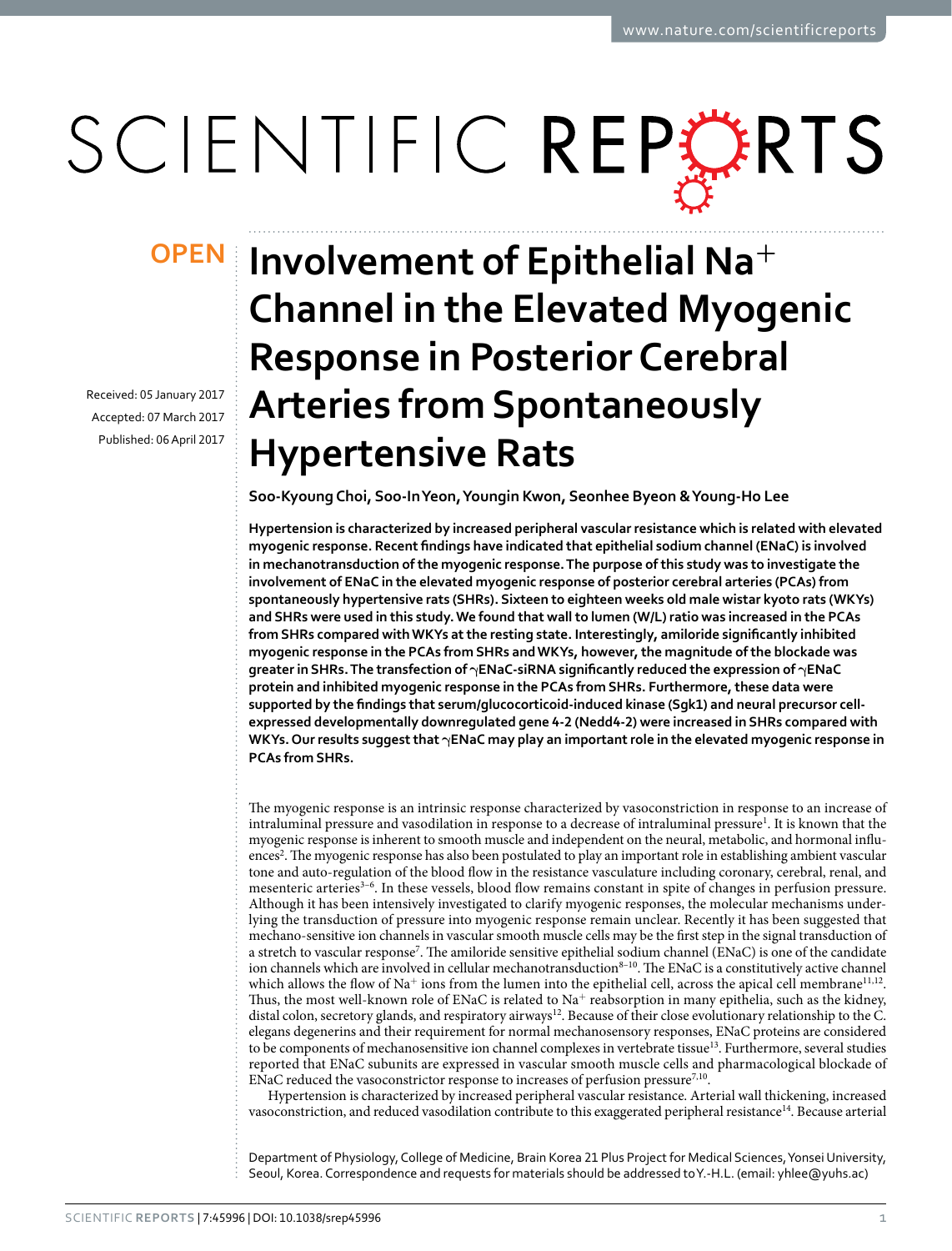# SCIENTIFIC REPERTS

Received: 05 January 2017 accepted: 07 March 2017 Published: 06 April 2017

## **Involvement of Epithelial Na<sup>+</sup> OPENChannel in the Elevated Myogenic Response in Posterior Cerebral Arteries from Spontaneously Hypertensive Rats**

**Soo-KyoungChoi, Soo-InYeon, Youngin Kwon, Seonhee Byeon & Young-Ho Lee**

**Hypertension is characterized by increased peripheral vascular resistance which is related with elevated myogenic response. Recent findings have indicated that epithelial sodium channel (ENaC) is involved in mechanotransduction of the myogenic response. The purpose of this study was to investigate the involvement of ENaC in the elevated myogenic response of posterior cerebral arteries (PCAs) from spontaneously hypertensive rats (SHRs). Sixteen to eighteen weeks old male wistar kyoto rats (WKYs) and SHRs were used in this study. We found that wall to lumen (W/L) ratio was increased in the PCAs from SHRs compared with WKYs at the resting state. Interestingly, amiloride significantly inhibited myogenic response in the PCAs from SHRs and WKYs, however, the magnitude of the blockade was greater in SHRs. The transfection of γENaC-siRNA significantly reduced the expression of γENaC protein and inhibited myogenic response in the PCAs from SHRs. Furthermore, these data were supported by the findings that serum/glucocorticoid-induced kinase (Sgk1) and neural precursor cellexpressed developmentally downregulated gene 4-2 (Nedd4-2) were increased in SHRs compared with WKYs. Our results suggest that γENaC may play an important role in the elevated myogenic response in PCAs from SHRs.**

The myogenic response is an intrinsic response characterized by vasoconstriction in response to an increase of intraluminal pressure and vasodilation in response to a decrease of intraluminal pressure<sup>1</sup>. It is known that the myogenic response is inherent to smooth muscle and independent on the neural, metabolic, and hormonal influences<sup>2</sup>. The myogenic response has also been postulated to play an important role in establishing ambient vascular tone and auto-regulation of the blood flow in the resistance vasculature including coronary, cerebral, renal, and mesenteric arterie[s3–6](#page-6-2). In these vessels, blood flow remains constant in spite of changes in perfusion pressure. Although it has been intensively investigated to clarify myogenic responses, the molecular mechanisms underlying the transduction of pressure into myogenic response remain unclear. Recently it has been suggested that mechano-sensitive ion channels in vascular smooth muscle cells may be the first step in the signal transduction of a stretch to vascular response<sup>[7](#page-6-3)</sup>. The amiloride sensitive epithelial sodium channel (ENaC) is one of the candidate ion channels which are involved in cellular mechanotransduction $8-10$ . The ENaC is a constitutively active channel which allows the flow of Na<sup>+</sup> ions from the lumen into the epithelial cell, across the apical cell membrane<sup>[11](#page-6-5),12</sup>. Thus, the most well-known role of ENaC is related to  $Na<sup>+</sup>$  reabsorption in many epithelia, such as the kidney, distal colon, secretory glands, and respiratory airways<sup>[12](#page-6-6)</sup>. Because of their close evolutionary relationship to the C. elegans degenerins and their requirement for normal mechanosensory responses, ENaC proteins are considered to be components of mechanosensitive ion channel complexes in vertebrate tissue<sup>13</sup>. Furthermore, several studies reported that ENaC subunits are expressed in vascular smooth muscle cells and pharmacological blockade of ENaC reduced the vasoconstrictor response to increases of perfusion pressure<sup>[7,](#page-6-3)10</sup>.

Hypertension is characterized by increased peripheral vascular resistance. Arterial wall thickening, increased vasoconstriction, and reduced vasodilation contribute to this exaggerated peripheral resistance<sup>14</sup>. Because arterial

Department of Physiology, College of Medicine, Brain Korea 21 Plus Project for Medical Sciences, Yonsei University, Seoul, Korea. Correspondence and requests for materials should be addressed to Y.-H.L. (email: [yhlee@yuhs.ac\)](mailto:yhlee@yuhs.ac)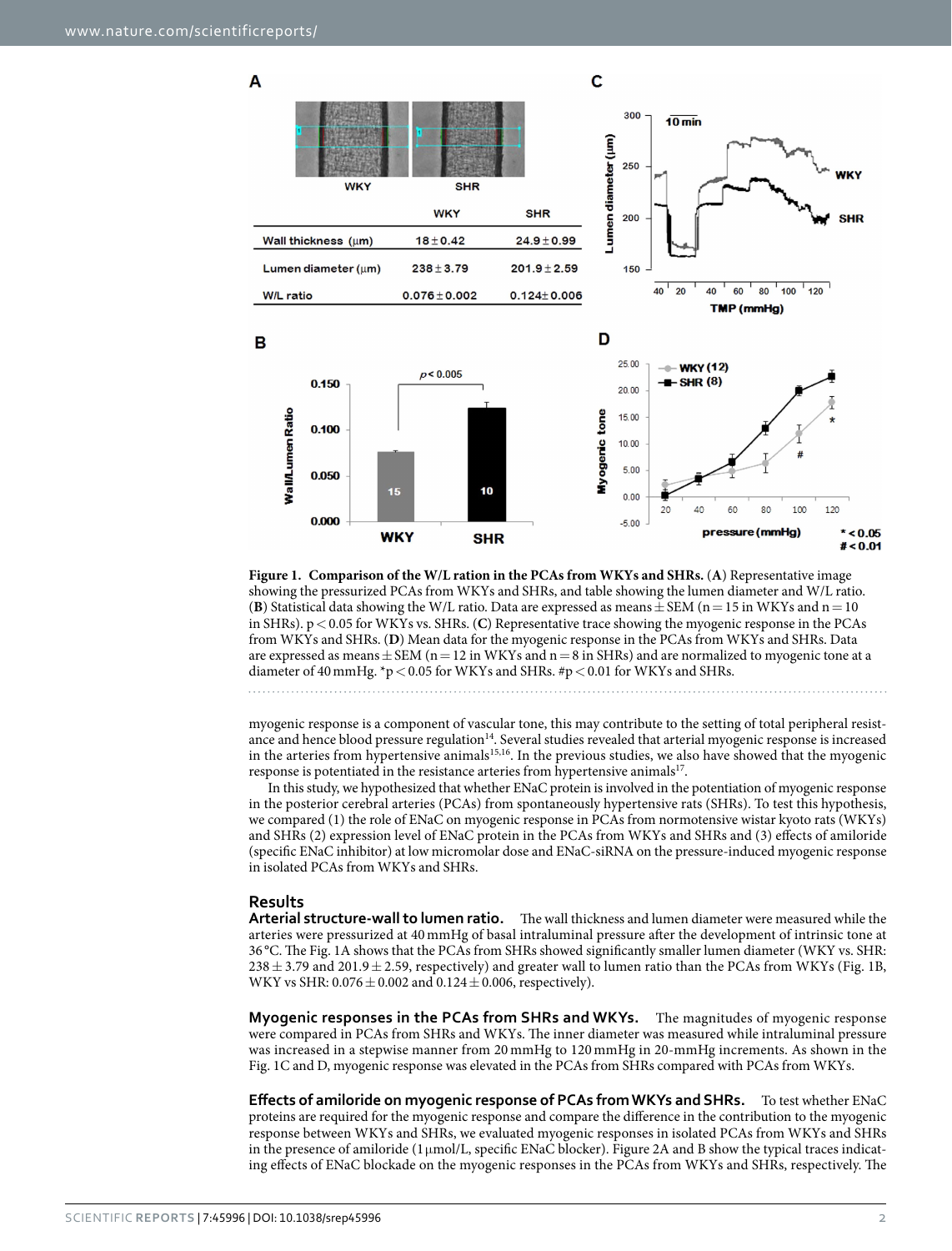A



<span id="page-1-0"></span>**Figure 1. Comparison of the W/L ration in the PCAs from WKYs and SHRs.** (**A**) Representative image showing the pressurized PCAs from WKYs and SHRs, and table showing the lumen diameter and W/L ratio. (**B**) Statistical data showing the W/L ratio. Data are expressed as means  $\pm$  SEM (n = 15 in WKYs and n = 10 in SHRs).  $p < 0.05$  for WKYs vs. SHRs. (C) Representative trace showing the myogenic response in the PCAs from WKYs and SHRs. (**D**) Mean data for the myogenic response in the PCAs from WKYs and SHRs. Data are expressed as means  $\pm$  SEM (n = 12 in WKYs and n = 8 in SHRs) and are normalized to myogenic tone at a diameter of 40 mmHg.  $+p$  < 0.05 for WKYs and SHRs. #p < 0.01 for WKYs and SHRs.

myogenic response is a component of vascular tone, this may contribute to the setting of total peripheral resistance and hence blood pressure regulation<sup>14</sup>. Several studies revealed that arterial myogenic response is increased in the arteries from hypertensive animal[s15](#page-6-10),[16](#page-6-11). In the previous studies, we also have showed that the myogenic response is potentiated in the resistance arteries from hypertensive animals<sup>[17](#page-6-12)</sup>.

In this study, we hypothesized that whether ENaC protein is involved in the potentiation of myogenic response in the posterior cerebral arteries (PCAs) from spontaneously hypertensive rats (SHRs). To test this hypothesis, we compared (1) the role of ENaC on myogenic response in PCAs from normotensive wistar kyoto rats (WKYs) and SHRs (2) expression level of ENaC protein in the PCAs from WKYs and SHRs and (3) effects of amiloride (specific ENaC inhibitor) at low micromolar dose and ENaC-siRNA on the pressure-induced myogenic response in isolated PCAs from WKYs and SHRs.

#### **Results**

**Arterial structure-wall to lumen ratio.** The wall thickness and lumen diameter were measured while the arteries were pressurized at 40 mmHg of basal intraluminal pressure after the development of intrinsic tone at 36 °C. The [Fig. 1A](#page-1-0) shows that the PCAs from SHRs showed significantly smaller lumen diameter (WKY vs. SHR:  $238 \pm 3.79$  and  $201.9 \pm 2.59$ , respectively) and greater wall to lumen ratio than the PCAs from WKYs [\(Fig. 1B,](#page-1-0) WKY vs SHR:  $0.076 \pm 0.002$  and  $0.124 \pm 0.006$ , respectively).

**Myogenic responses in the PCAs from SHRs and WKYs.** The magnitudes of myogenic response were compared in PCAs from SHRs and WKYs. The inner diameter was measured while intraluminal pressure was increased in a stepwise manner from 20 mmHg to 120 mmHg in 20-mmHg increments. As shown in the [Fig. 1C](#page-1-0) and [D,](#page-1-0) myogenic response was elevated in the PCAs from SHRs compared with PCAs from WKYs.

**Effects of amiloride on myogenic response of PCAs from WKYs and SHRs.** To test whether ENaC proteins are required for the myogenic response and compare the difference in the contribution to the myogenic response between WKYs and SHRs, we evaluated myogenic responses in isolated PCAs from WKYs and SHRs in the presence of amiloride (1μmol/L, specific ENaC blocker). [Figure 2A](#page-2-0) and [B](#page-2-0) show the typical traces indicating effects of ENaC blockade on the myogenic responses in the PCAs from WKYs and SHRs, respectively. The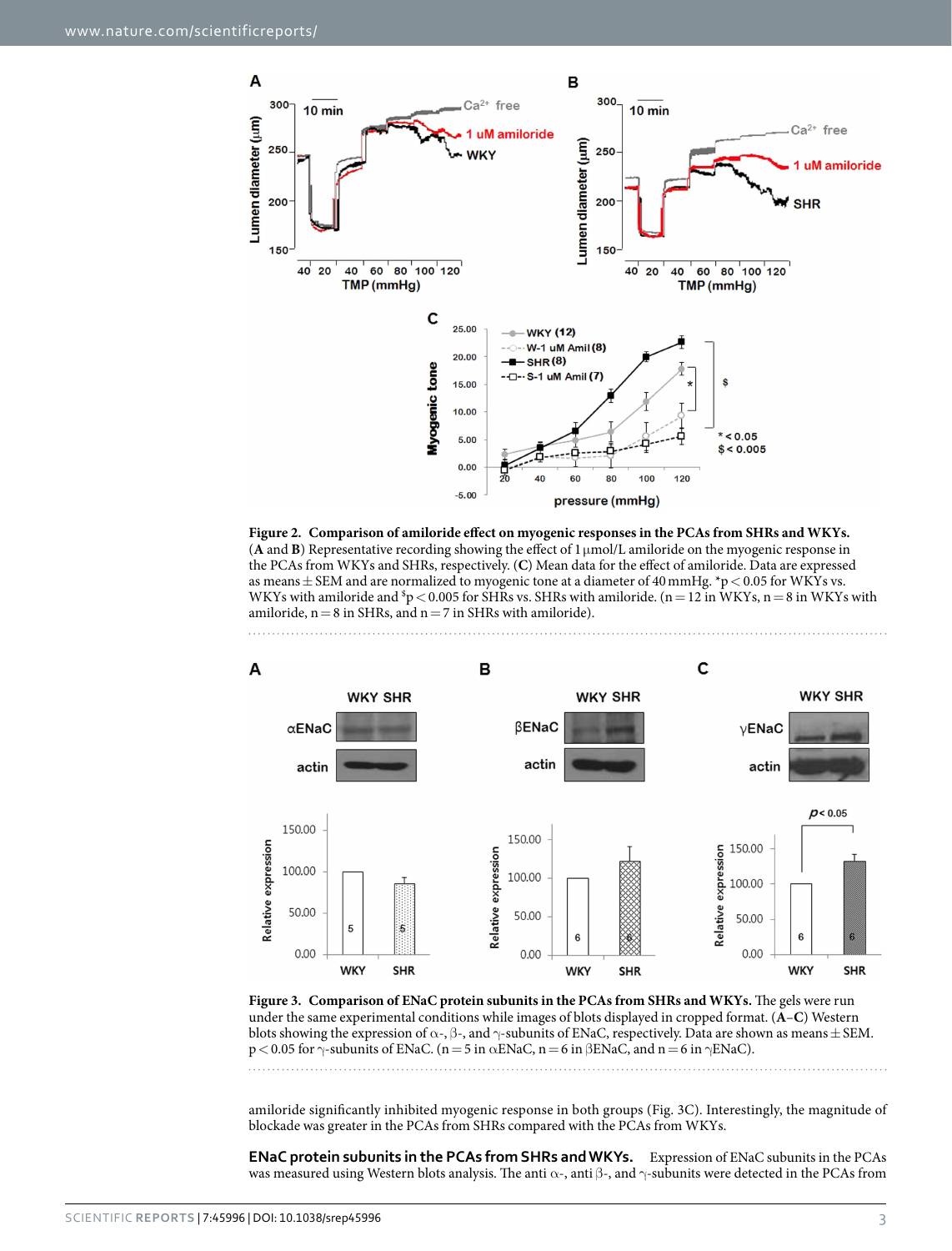

<span id="page-2-0"></span>



<span id="page-2-1"></span>**Figure 3. Comparison of ENaC protein subunits in the PCAs from SHRs and WKYs.** The gels were run under the same experimental conditions while images of blots displayed in cropped format. (**A**–**C**) Western blots showing the expression of  $\alpha$ -,  $\beta$ -, and  $\gamma$ -subunits of ENaC, respectively. Data are shown as means  $\pm$  SEM.  $p < 0.05$  for  $\gamma$ -subunits of ENaC. (n = 5 in  $\alpha$ ENaC, n = 6 in  $\beta$ ENaC, and n = 6 in  $\gamma$ ENaC). 

amiloride significantly inhibited myogenic response in both groups ([Fig. 3C](#page-2-1)). Interestingly, the magnitude of blockade was greater in the PCAs from SHRs compared with the PCAs from WKYs.

**ENaC protein subunits in the PCAs from SHRs and WKYs.** Expression of ENaC subunits in the PCAs was measured using Western blots analysis. The anti  $\alpha$ -, anti β-, and  $\gamma$ -subunits were detected in the PCAs from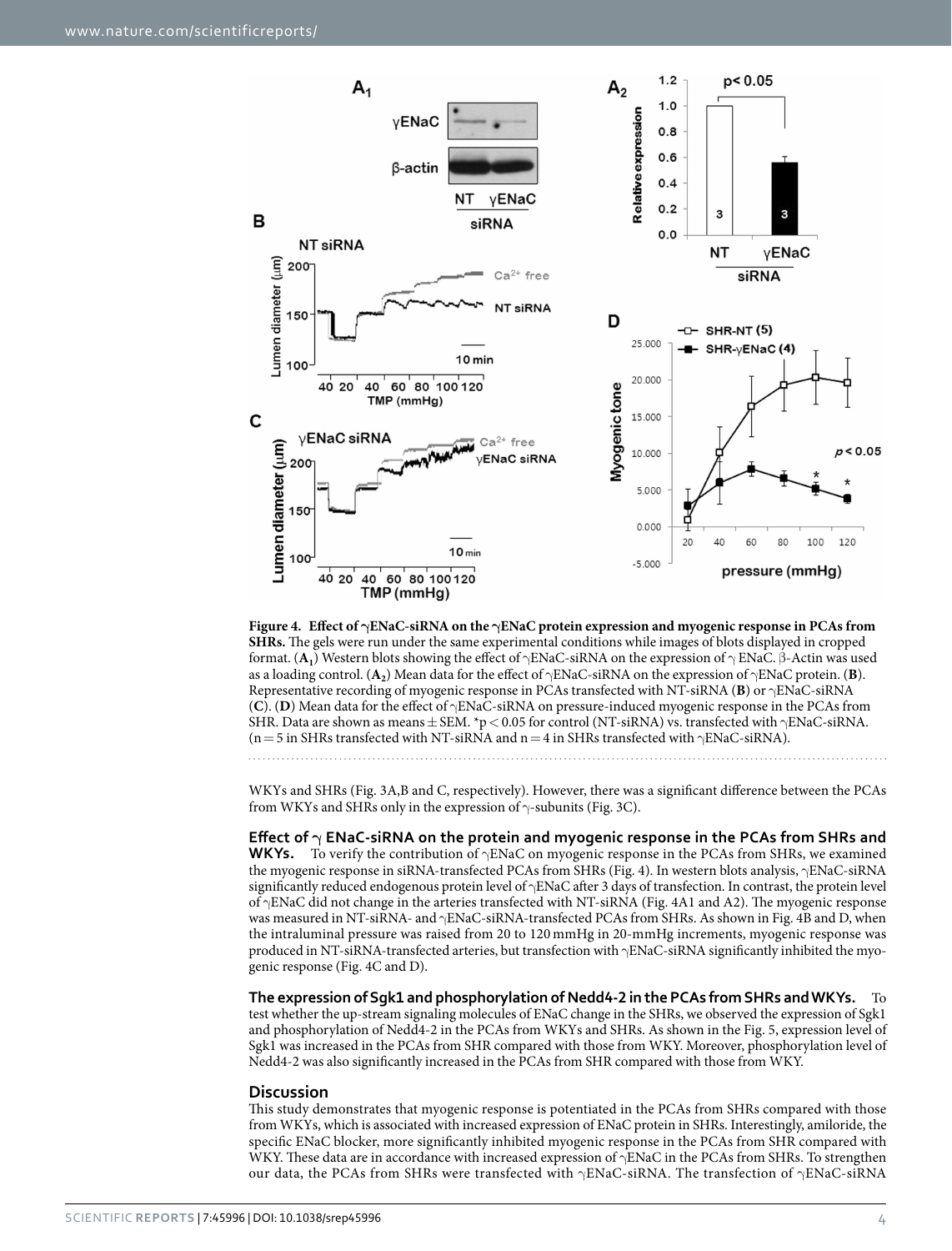

<span id="page-3-0"></span>**Figure 4. Effect of γENaC-siRNA on the γENaC protein expression and myogenic response in PCAs from SHRs.** The gels were run under the same experimental conditions while images of blots displayed in cropped format. (**A1**) Western blots showing the effect of γENaC-siRNA on the expression of γ ENaC. β-Actin was used as a loading control. (**A2**) Mean data for the effect of γENaC-siRNA on the expression of γENaC protein. (**B**). Representative recording of myogenic response in PCAs transfected with NT-siRNA (**B**) or γENaC-siRNA (**C**). (**D**) Mean data for the effect of γENaC-siRNA on pressure-induced myogenic response in the PCAs from SHR. Data are shown as means  $\pm$  SEM. \*p < 0.05 for control (NT-siRNA) vs. transfected with  $\gamma$ ENaC-siRNA. (n = 5 in SHRs transfected with NT-siRNA and n = 4 in SHRs transfected with  $\gamma$ ENaC-siRNA).

WKYs and SHRs [\(Fig. 3A,B](#page-2-1) and C, respectively). However, there was a significant difference between the PCAs from WKYs and SHRs only in the expression of  $\gamma$ -subunits [\(Fig. 3C\)](#page-2-1).

**Effect of γ ENaC-siRNA on the protein and myogenic response in the PCAs from SHRs and WKYs.** To verify the contribution of γENaC on myogenic response in the PCAs from SHRs, we examined the myogenic response in siRNA-transfected PCAs from SHRs ([Fig. 4\)](#page-3-0). In western blots analysis,  $\gamma$ ENaC-siRNA significantly reduced endogenous protein level of  $\gamma$ ENaC after 3 days of transfection. In contrast, the protein level of γENaC did not change in the arteries transfected with NT-siRNA [\(Fig. 4A1](#page-3-0) and A2). The myogenic response was measured in NT-siRNA- and γENaC-siRNA-transfected PCAs from SHRs. As shown in [Fig. 4B](#page-3-0) and D, when the intraluminal pressure was raised from 20 to 120 mmHg in 20-mmHg increments, myogenic response was produced in NT-siRNA-transfected arteries, but transfection with γENaC-siRNA significantly inhibited the myogenic response [\(Fig. 4C](#page-3-0) and D).

**The expression of Sgk1 and phosphorylation of Nedd4-2 in the PCAs from SHRs and WKYs.** To test whether the up-stream signaling molecules of ENaC change in the SHRs, we observed the expression of Sgk1 and phosphorylation of Nedd4-2 in the PCAs from WKYs and SHRs. As shown in the [Fig. 5](#page-4-0), expression level of Sgk1 was increased in the PCAs from SHR compared with those from WKY. Moreover, phosphorylation level of Nedd4-2 was also significantly increased in the PCAs from SHR compared with those from WKY.

#### **Discussion**

This study demonstrates that myogenic response is potentiated in the PCAs from SHRs compared with those from WKYs, which is associated with increased expression of ENaC protein in SHRs. Interestingly, amiloride, the specific ENaC blocker, more significantly inhibited myogenic response in the PCAs from SHR compared with WKY. These data are in accordance with increased expression of γENaC in the PCAs from SHRs. To strengthen our data, the PCAs from SHRs were transfected with  $\gamma$ ENaC-siRNA. The transfection of  $\gamma$ ENaC-siRNA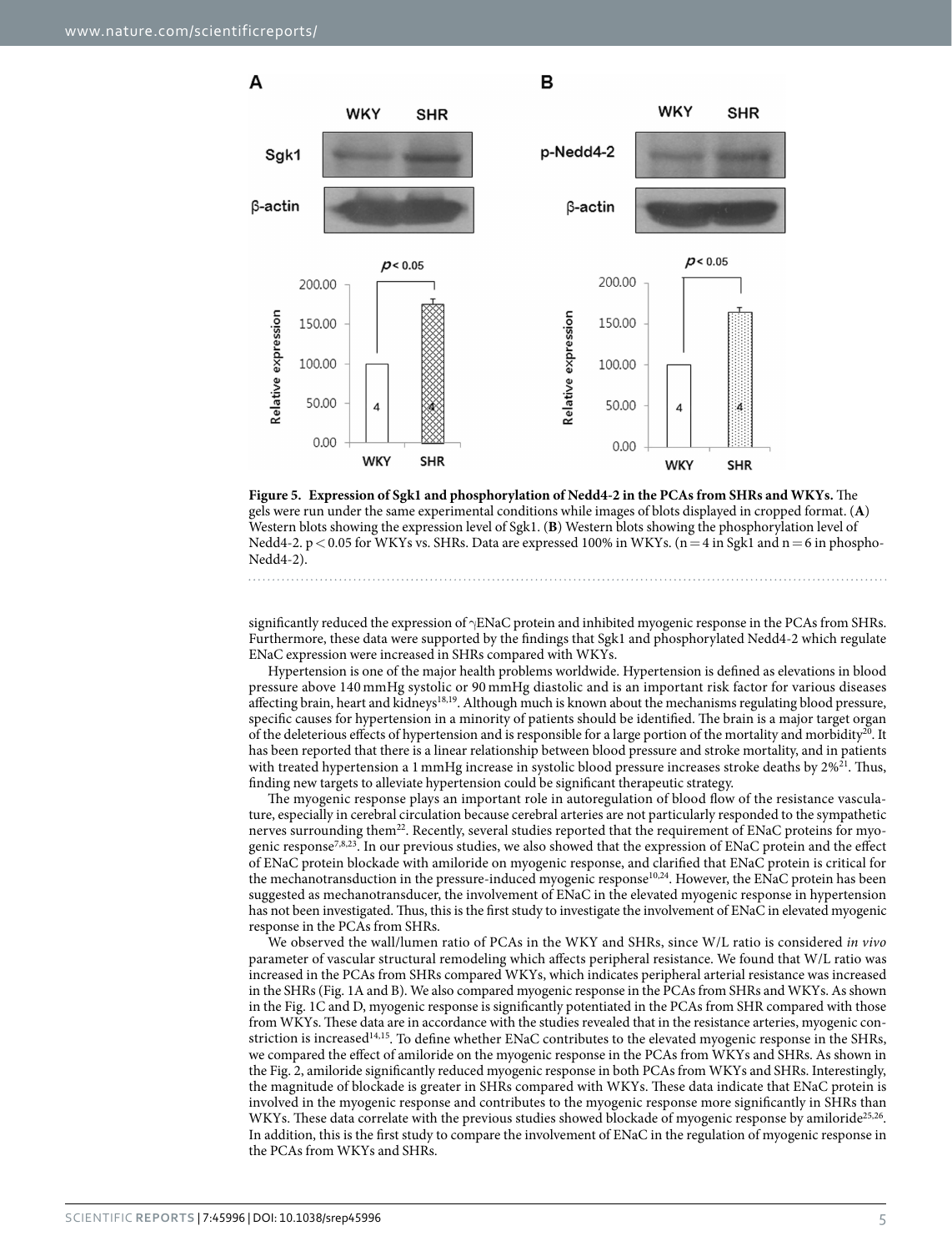A



<span id="page-4-0"></span>

significantly reduced the expression of γENaC protein and inhibited myogenic response in the PCAs from SHRs. Furthermore, these data were supported by the findings that Sgk1 and phosphorylated Nedd4-2 which regulate ENaC expression were increased in SHRs compared with WKYs.

Hypertension is one of the major health problems worldwide. Hypertension is defined as elevations in blood pressure above 140 mmHg systolic or 90 mmHg diastolic and is an important risk factor for various diseases affecting brain, heart and kidneys<sup>[18](#page-6-13),19</sup>. Although much is known about the mechanisms regulating blood pressure, specific causes for hypertension in a minority of patients should be identified. The brain is a major target organ of the deleterious effects of hypertension and is responsible for a large portion of the mortality and morbidity<sup>[20](#page-6-15)</sup>. It has been reported that there is a linear relationship between blood pressure and stroke mortality, and in patients with treated hypertension a 1 mmHg increase in systolic blood pressure increases stroke deaths by  $2\%^{21}$ . Thus, finding new targets to alleviate hypertension could be significant therapeutic strategy.

The myogenic response plays an important role in autoregulation of blood flow of the resistance vasculature, especially in cerebral circulation because cerebral arteries are not particularly responded to the sympathetic nerves surrounding them<sup>22</sup>. Recently, several studies reported that the requirement of ENaC proteins for myogenic respons[e7](#page-6-3)[,8](#page-6-4),[23](#page-6-18). In our previous studies, we also showed that the expression of ENaC protein and the effect of ENaC protein blockade with amiloride on myogenic response, and clarified that ENaC protein is critical for the mechanotransduction in the pressure-induced myogenic response<sup>[10,](#page-6-8)[24](#page-7-0)</sup>. However, the ENaC protein has been suggested as mechanotransducer, the involvement of ENaC in the elevated myogenic response in hypertension has not been investigated. Thus, this is the first study to investigate the involvement of ENaC in elevated myogenic response in the PCAs from SHRs.

We observed the wall/lumen ratio of PCAs in the WKY and SHRs, since W/L ratio is considered *in vivo* parameter of vascular structural remodeling which affects peripheral resistance. We found that W/L ratio was increased in the PCAs from SHRs compared WKYs, which indicates peripheral arterial resistance was increased in the SHRs [\(Fig. 1A](#page-1-0) and B). We also compared myogenic response in the PCAs from SHRs and WKYs. As shown in the [Fig. 1C](#page-1-0) and D, myogenic response is significantly potentiated in the PCAs from SHR compared with those from WKYs. These data are in accordance with the studies revealed that in the resistance arteries, myogenic constriction is increase[d14,](#page-6-9)[15.](#page-6-10) To define whether ENaC contributes to the elevated myogenic response in the SHRs, we compared the effect of amiloride on the myogenic response in the PCAs from WKYs and SHRs. As shown in the [Fig. 2](#page-2-0), amiloride significantly reduced myogenic response in both PCAs from WKYs and SHRs. Interestingly, the magnitude of blockade is greater in SHRs compared with WKYs. These data indicate that ENaC protein is involved in the myogenic response and contributes to the myogenic response more significantly in SHRs than WKYs. These data correlate with the previous studies showed blockade of myogenic response by amiloride<sup>[25,](#page-7-1)26</sup>. In addition, this is the first study to compare the involvement of ENaC in the regulation of myogenic response in the PCAs from WKYs and SHRs.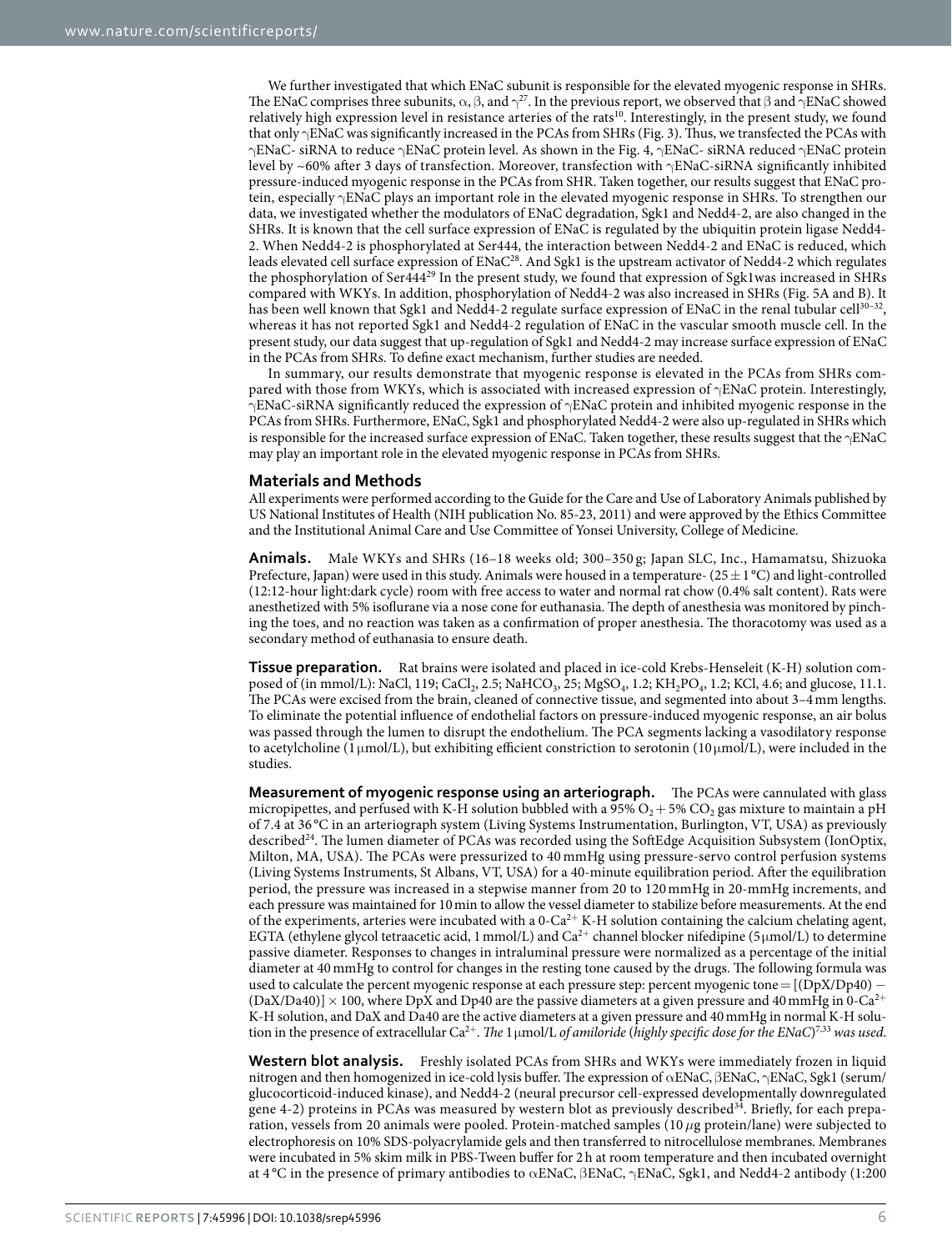We further investigated that which ENaC subunit is responsible for the elevated myogenic response in SHRs. The ENaC comprises three subunits,  $\alpha$ ,  $\beta$ , and  $\gamma^2$ . In the previous report, we observed that  $\beta$  and  $\gamma$ ENaC showed relatively high expression level in resistance arteries of the rats<sup>10</sup>. Interestingly, in the present study, we found that only γENaC was significantly increased in the PCAs from SHRs [\(Fig. 3\)](#page-2-1). Thus, we transfected the PCAs with γENaC- siRNA to reduce γENaC protein level. As shown in the [Fig. 4,](#page-3-0) γENaC- siRNA reduced γENaC protein level by ~60% after 3 days of transfection. Moreover, transfection with γENaC-siRNA significantly inhibited pressure-induced myogenic response in the PCAs from SHR. Taken together, our results suggest that ENaC protein, especially γENaC plays an important role in the elevated myogenic response in SHRs. To strengthen our data, we investigated whether the modulators of ENaC degradation, Sgk1 and Nedd4-2, are also changed in the SHRs. It is known that the cell surface expression of ENaC is regulated by the ubiquitin protein ligase Nedd4- 2. When Nedd4-2 is phosphorylated at Ser444, the interaction between Nedd4-2 and ENaC is reduced, which leads elevated cell surface expression of ENa[C28.](#page-7-4) And Sgk1 is the upstream activator of Nedd4-2 which regulates the phosphorylation of Ser444[29](#page-7-5) In the present study, we found that expression of Sgk1was increased in SHRs compared with WKYs. In addition, phosphorylation of Nedd4-2 was also increased in SHRs ([Fig. 5A](#page-4-0) and B). It has been well known that Sgk1 and Nedd4-2 regulate surface expression of ENaC in the renal tubular cell<sup>30-32</sup>, whereas it has not reported Sgk1 and Nedd4-2 regulation of ENaC in the vascular smooth muscle cell. In the present study, our data suggest that up-regulation of Sgk1 and Nedd4-2 may increase surface expression of ENaC in the PCAs from SHRs. To define exact mechanism, further studies are needed.

In summary, our results demonstrate that myogenic response is elevated in the PCAs from SHRs compared with those from WKYs, which is associated with increased expression of  $\gamma$ ENaC protein. Interestingly, γENaC-siRNA significantly reduced the expression of γENaC protein and inhibited myogenic response in the PCAs from SHRs. Furthermore, ENaC, Sgk1 and phosphorylated Nedd4-2 were also up-regulated in SHRs which is responsible for the increased surface expression of ENaC. Taken together, these results suggest that the  $\gamma$ ENaC may play an important role in the elevated myogenic response in PCAs from SHRs.

### **Materials and Methods**

All experiments were performed according to the Guide for the Care and Use of Laboratory Animals published by US National Institutes of Health (NIH publication No. 85-23, 2011) and were approved by the Ethics Committee and the Institutional Animal Care and Use Committee of Yonsei University, College of Medicine.

**Animals.** Male WKYs and SHRs (16–18 weeks old; 300–350 g; Japan SLC, Inc., Hamamatsu, Shizuoka Prefecture, Japan) were used in this study. Animals were housed in a temperature- (25 $\pm$  1 °C) and light-controlled (12:12-hour light:dark cycle) room with free access to water and normal rat chow (0.4% salt content). Rats were anesthetized with 5% isoflurane via a nose cone for euthanasia. The depth of anesthesia was monitored by pinching the toes, and no reaction was taken as a confirmation of proper anesthesia. The thoracotomy was used as a secondary method of euthanasia to ensure death.

**Tissue preparation.** Rat brains were isolated and placed in ice-cold Krebs-Henseleit (K-H) solution composed of (in mmol/L): NaCl, 119; CaCl<sub>2</sub>, 2.5; NaHCO<sub>3</sub>, 25; MgSO<sub>4</sub>, 1.2; KH<sub>2</sub>PO<sub>4</sub>, 1.2; KCl, 4.6; and glucose, 11.1. The PCAs were excised from the brain, cleaned of connective tissue, and segmented into about 3–4mm lengths. To eliminate the potential influence of endothelial factors on pressure-induced myogenic response, an air bolus was passed through the lumen to disrupt the endothelium. The PCA segments lacking a vasodilatory response to acetylcholine (1 μmol/L), but exhibiting efficient constriction to serotonin (10 μmol/L), were included in the studies.

**Measurement of myogenic response using an arteriograph.** The PCAs were cannulated with glass micropipettes, and perfused with K-H solution bubbled with a  $95\%$  O<sub>2</sub> + 5% CO<sub>2</sub> gas mixture to maintain a pH of 7.4 at 36 °C in an arteriograph system (Living Systems Instrumentation, Burlington, VT, USA) as previously describe[d24.](#page-7-0) The lumen diameter of PCAs was recorded using the SoftEdge Acquisition Subsystem (IonOptix, Milton, MA, USA). The PCAs were pressurized to 40 mmHg using pressure-servo control perfusion systems (Living Systems Instruments, St Albans, VT, USA) for a 40-minute equilibration period. After the equilibration period, the pressure was increased in a stepwise manner from 20 to 120 mmHg in 20-mmHg increments, and each pressure was maintained for 10min to allow the vessel diameter to stabilize before measurements. At the end of the experiments, arteries were incubated with a  $0$ -Ca<sup>2+</sup> K-H solution containing the calcium chelating agent, EGTA (ethylene glycol tetraacetic acid, 1 mmol/L) and  $Ca^{2+}$  channel blocker nifedipine (5 µmol/L) to determine passive diameter. Responses to changes in intraluminal pressure were normalized as a percentage of the initial diameter at 40mmHg to control for changes in the resting tone caused by the drugs. The following formula was used to calculate the percent myogenic response at each pressure step: percent myogenic tone = [(DpX/Dp40) –  $(DaX/Da40)] \times 100$ , where DpX and Dp40 are the passive diameters at a given pressure and 40 mmHg in 0-Ca<sup>2+</sup> K-H solution, and DaX and Da40 are the active diameters at a given pressure and 40mmHg in normal K-H solution in the presence of extracellular Ca2<sup>+</sup>. *The* 1μmol/L *of amiloride* (*highly specific dose for the ENaC*) [7](#page-6-3)[,33](#page-7-7) *was used*.

**Western blot analysis.** Freshly isolated PCAs from SHRs and WKYs were immediately frozen in liquid nitrogen and then homogenized in ice-cold lysis buffer. The expression of αENaC, βENaC, γENaC, Sgk1 (serum/ glucocorticoid-induced kinase), and Nedd4-2 (neural precursor cell-expressed developmentally downregulated gene 4-2) proteins in PCAs was measured by western blot as previously described<sup>34</sup>. Briefly, for each preparation, vessels from 20 animals were pooled. Protein-matched samples (10*μ*g protein/lane) were subjected to electrophoresis on 10% SDS-polyacrylamide gels and then transferred to nitrocellulose membranes. Membranes were incubated in 5% skim milk in PBS-Tween buffer for 2h at room temperature and then incubated overnight at 4 °C in the presence of primary antibodies to αENaC, βENaC, γENaC, Sgk1, and Nedd4-2 antibody (1:200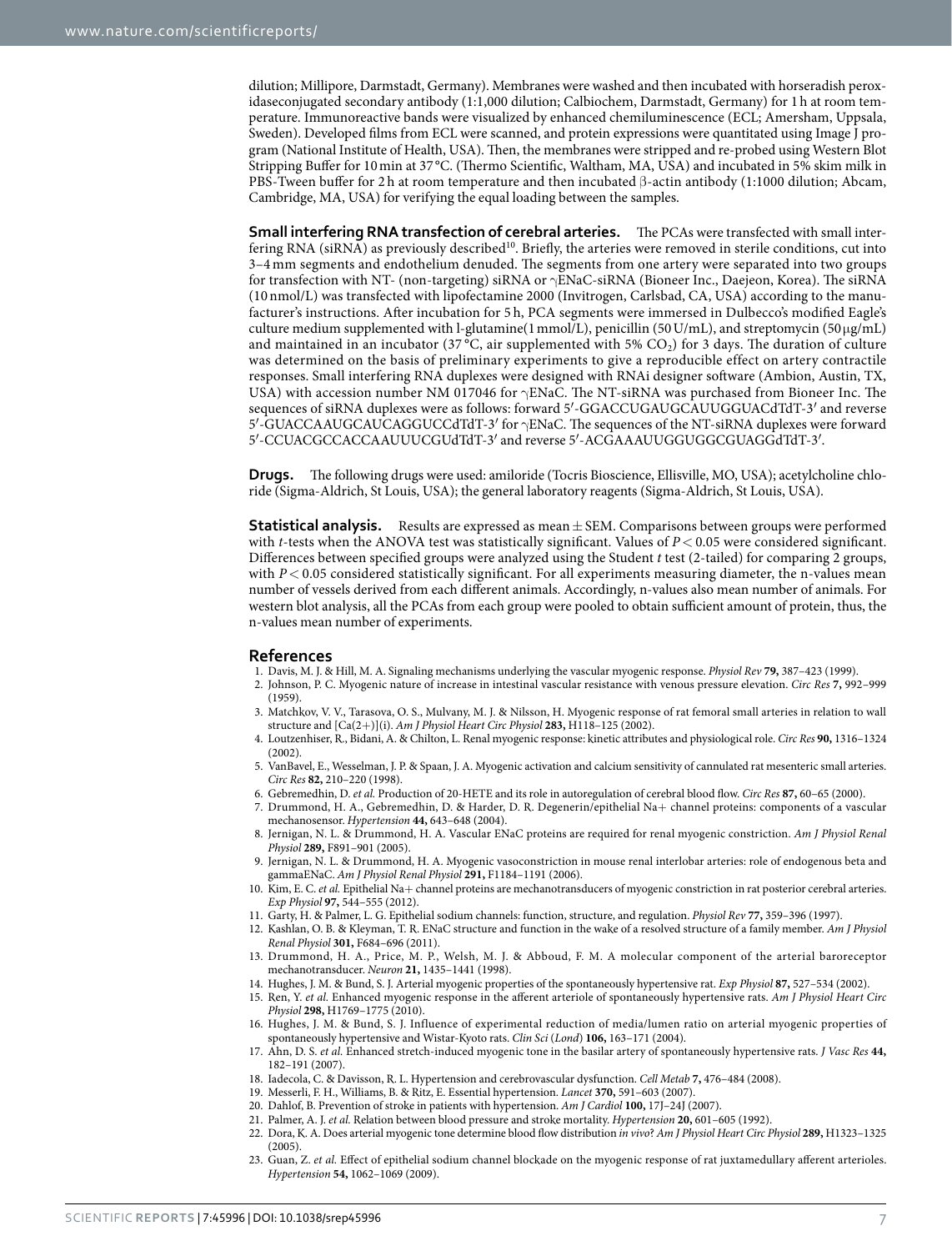dilution; Millipore, Darmstadt, Germany). Membranes were washed and then incubated with horseradish peroxidaseconjugated secondary antibody (1:1,000 dilution; Calbiochem, Darmstadt, Germany) for 1h at room temperature. Immunoreactive bands were visualized by enhanced chemiluminescence (ECL; Amersham, Uppsala, Sweden). Developed films from ECL were scanned, and protein expressions were quantitated using Image J program (National Institute of Health, USA). Then, the membranes were stripped and re-probed using Western Blot Stripping Buffer for 10min at 37 °C. (Thermo Scientific, Waltham, MA, USA) and incubated in 5% skim milk in PBS-Tween buffer for 2 h at room temperature and then incubated β-actin antibody (1:1000 dilution; Abcam, Cambridge, MA, USA) for verifying the equal loading between the samples.

**Small interfering RNA transfection of cerebral arteries.** The PCAs were transfected with small inter-fering RNA (siRNA) as previously described<sup>[10](#page-6-8)</sup>. Briefly, the arteries were removed in sterile conditions, cut into 3–4 mm segments and endothelium denuded. The segments from one artery were separated into two groups for transfection with NT- (non-targeting) siRNA or γENaC-siRNA (Bioneer Inc., Daejeon, Korea). The siRNA (10 nmol/L) was transfected with lipofectamine 2000 (Invitrogen, Carlsbad, CA, USA) according to the manufacturer's instructions. After incubation for 5 h, PCA segments were immersed in Dulbecco's modified Eagle's culture medium supplemented with l-glutamine(1 mmol/L), penicillin (50 U/mL), and streptomycin (50  $\mu$ g/mL) and maintained in an incubator (37 °C, air supplemented with 5%  $CO<sub>2</sub>$ ) for 3 days. The duration of culture was determined on the basis of preliminary experiments to give a reproducible effect on artery contractile responses. Small interfering RNA duplexes were designed with RNAi designer software (Ambion, Austin, TX, USA) with accession number NM 017046 for γENaC. The NT-siRNA was purchased from Bioneer Inc. The sequences of siRNA duplexes were as follows: forward 5′-GGACCUGAUGCAUUGGUACdTdT-3′ and reverse 5′-GUACCAAUGCAUCAGGUCCdTdT-3′ for γENaC. The sequences of the NT-siRNA duplexes were forward 5′-CCUACGCCACCAAUUUCGUdTdT-3′ and reverse 5′-ACGAAAUUGGUGGCGUAGGdTdT-3′.

**Drugs.** The following drugs were used: amiloride (Tocris Bioscience, Ellisville, MO, USA); acetylcholine chloride (Sigma-Aldrich, St Louis, USA); the general laboratory reagents (Sigma-Aldrich, St Louis, USA).

**Statistical analysis.** Results are expressed as mean  $\pm$  SEM. Comparisons between groups were performed with *t*-tests when the ANOVA test was statistically significant. Values of  $P < 0.05$  were considered significant. Differences between specified groups were analyzed using the Student *t* test (2-tailed) for comparing 2 groups, with  $P < 0.05$  considered statistically significant. For all experiments measuring diameter, the n-values mean number of vessels derived from each different animals. Accordingly, n-values also mean number of animals. For western blot analysis, all the PCAs from each group were pooled to obtain sufficient amount of protein, thus, the n-values mean number of experiments.

#### **References**

- 1. Davis, M. J. & Hill, M. A. Signaling mechanisms underlying the vascular myogenic response. *Physiol Rev* **79,** 387–423 (1999).
- <span id="page-6-1"></span><span id="page-6-0"></span>2. Johnson, P. C. Myogenic nature of increase in intestinal vascular resistance with venous pressure elevation. *Circ Res* **7,** 992–999 (1959).
- <span id="page-6-2"></span>3. Matchkov, V. V., Tarasova, O. S., Mulvany, M. J. & Nilsson, H. Myogenic response of rat femoral small arteries in relation to wall structure and [Ca(2+)](i). *Am J Physiol Heart Circ Physiol* **283,** H118–125 (2002).
- 4. Loutzenhiser, R., Bidani, A. & Chilton, L. Renal myogenic response: kinetic attributes and physiological role. *Circ Res* **90,** 1316–1324 (2002).
- 5. VanBavel, E., Wesselman, J. P. & Spaan, J. A. Myogenic activation and calcium sensitivity of cannulated rat mesenteric small arteries. *Circ Res* **82,** 210–220 (1998).
- 6. Gebremedhin, D. *et al.* Production of 20-HETE and its role in autoregulation of cerebral blood flow. *Circ Res* **87,** 60–65 (2000).
- <span id="page-6-3"></span>7. Drummond, H. A., Gebremedhin, D. & Harder, D. R. Degenerin/epithelial Na+ channel proteins: components of a vascular mechanosensor. *Hypertension* **44,** 643–648 (2004).
- <span id="page-6-4"></span>8. Jernigan, N. L. & Drummond, H. A. Vascular ENaC proteins are required for renal myogenic constriction. *Am J Physiol Renal Physiol* **289,** F891–901 (2005).
- 9. Jernigan, N. L. & Drummond, H. A. Myogenic vasoconstriction in mouse renal interlobar arteries: role of endogenous beta and gammaENaC. *Am J Physiol Renal Physiol* **291,** F1184–1191 (2006).
- <span id="page-6-8"></span>10. Kim, E. C. *et al.* Epithelial Na+ channel proteins are mechanotransducers of myogenic constriction in rat posterior cerebral arteries. *Exp Physiol* **97,** 544–555 (2012).
- <span id="page-6-5"></span>11. Garty, H. & Palmer, L. G. Epithelial sodium channels: function, structure, and regulation. *Physiol Rev* **77,** 359–396 (1997).
- <span id="page-6-6"></span>12. Kashlan, O. B. & Kleyman, T. R. ENaC structure and function in the wake of a resolved structure of a family member. *Am J Physiol Renal Physiol* **301,** F684–696 (2011).
- <span id="page-6-7"></span>13. Drummond, H. A., Price, M. P., Welsh, M. J. & Abboud, F. M. A molecular component of the arterial baroreceptor mechanotransducer. *Neuron* **21,** 1435–1441 (1998).
- <span id="page-6-10"></span><span id="page-6-9"></span>14. Hughes, J. M. & Bund, S. J. Arterial myogenic properties of the spontaneously hypertensive rat. *Exp Physiol* **87,** 527–534 (2002).
- 15. Ren, Y. *et al.* Enhanced myogenic response in the afferent arteriole of spontaneously hypertensive rats. *Am J Physiol Heart Circ Physiol* **298,** H1769–1775 (2010).
- <span id="page-6-11"></span>16. Hughes, J. M. & Bund, S. J. Influence of experimental reduction of media/lumen ratio on arterial myogenic properties of spontaneously hypertensive and Wistar-Kyoto rats. *Clin Sci* (*Lond*) **106,** 163–171 (2004).
- <span id="page-6-12"></span>17. Ahn, D. S. *et al.* Enhanced stretch-induced myogenic tone in the basilar artery of spontaneously hypertensive rats. *J Vasc Res* **44,** 182–191 (2007).
- 18. Iadecola, C. & Davisson, R. L. Hypertension and cerebrovascular dysfunction. *Cell Metab* **7,** 476–484 (2008).
- <span id="page-6-15"></span><span id="page-6-14"></span><span id="page-6-13"></span>19. Messerli, F. H., Williams, B. & Ritz, E. Essential hypertension. *Lancet* **370,** 591–603 (2007).
- 20. Dahlof, B. Prevention of stroke in patients with hypertension. *Am J Cardiol* **100,** 17J–24J (2007).
- <span id="page-6-16"></span>21. Palmer, A. J. *et al.* Relation between blood pressure and stroke mortality. *Hypertension* **20,** 601–605 (1992).
- <span id="page-6-17"></span>22. Dora, K. A. Does arterial myogenic tone determine blood flow distribution *in vivo*? *Am J Physiol Heart Circ Physiol* **289,** H1323–1325 (2005).
- <span id="page-6-18"></span>23. Guan, Z. *et al.* Effect of epithelial sodium channel blockade on the myogenic response of rat juxtamedullary afferent arterioles. *Hypertension* **54,** 1062–1069 (2009).